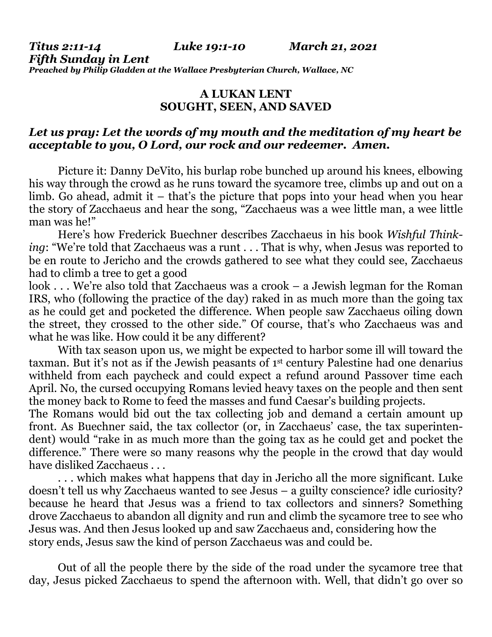*Titus 2:11-14 Luke 19:1-10 March 21, 2021*

*Fifth Sunday in Lent Preached by Philip Gladden at the Wallace Presbyterian Church, Wallace, NC*

## **A LUKAN LENT SOUGHT, SEEN, AND SAVED**

## *Let us pray: Let the words of my mouth and the meditation of my heart be acceptable to you, O Lord, our rock and our redeemer. Amen.*

Picture it: Danny DeVito, his burlap robe bunched up around his knees, elbowing his way through the crowd as he runs toward the sycamore tree, climbs up and out on a limb. Go ahead, admit it – that's the picture that pops into your head when you hear the story of Zacchaeus and hear the song, "Zacchaeus was a wee little man, a wee little man was he!"

Here's how Frederick Buechner describes Zacchaeus in his book *Wishful Thinking*: "We're told that Zacchaeus was a runt . . . That is why, when Jesus was reported to be en route to Jericho and the crowds gathered to see what they could see, Zacchaeus had to climb a tree to get a good

look . . . We're also told that Zacchaeus was a crook – a Jewish legman for the Roman IRS, who (following the practice of the day) raked in as much more than the going tax as he could get and pocketed the difference. When people saw Zacchaeus oiling down the street, they crossed to the other side." Of course, that's who Zacchaeus was and what he was like. How could it be any different?

With tax season upon us, we might be expected to harbor some ill will toward the taxman. But it's not as if the Jewish peasants of 1st century Palestine had one denarius withheld from each paycheck and could expect a refund around Passover time each April. No, the cursed occupying Romans levied heavy taxes on the people and then sent the money back to Rome to feed the masses and fund Caesar's building projects.

The Romans would bid out the tax collecting job and demand a certain amount up front. As Buechner said, the tax collector (or, in Zacchaeus' case, the tax superintendent) would "rake in as much more than the going tax as he could get and pocket the difference." There were so many reasons why the people in the crowd that day would have disliked Zacchaeus . . .

. . . which makes what happens that day in Jericho all the more significant. Luke doesn't tell us why Zacchaeus wanted to see Jesus – a guilty conscience? idle curiosity? because he heard that Jesus was a friend to tax collectors and sinners? Something drove Zacchaeus to abandon all dignity and run and climb the sycamore tree to see who Jesus was. And then Jesus looked up and saw Zacchaeus and, considering how the story ends, Jesus saw the kind of person Zacchaeus was and could be.

Out of all the people there by the side of the road under the sycamore tree that day, Jesus picked Zacchaeus to spend the afternoon with. Well, that didn't go over so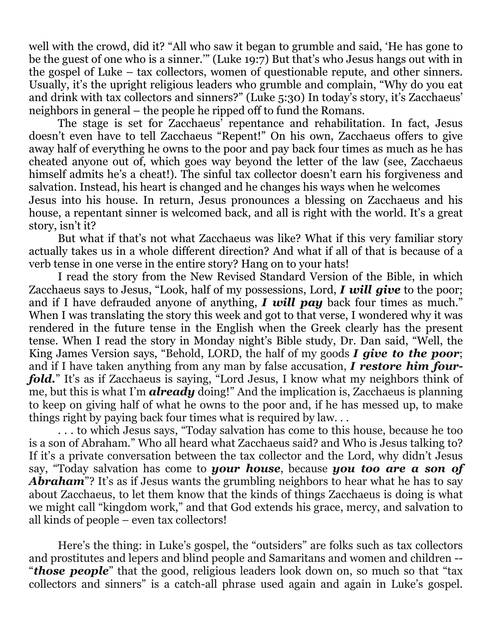well with the crowd, did it? "All who saw it began to grumble and said, 'He has gone to be the guest of one who is a sinner.'" (Luke 19:7) But that's who Jesus hangs out with in the gospel of Luke – tax collectors, women of questionable repute, and other sinners. Usually, it's the upright religious leaders who grumble and complain, "Why do you eat and drink with tax collectors and sinners?" (Luke 5:30) In today's story, it's Zacchaeus' neighbors in general – the people he ripped off to fund the Romans.

The stage is set for Zacchaeus' repentance and rehabilitation. In fact, Jesus doesn't even have to tell Zacchaeus "Repent!" On his own, Zacchaeus offers to give away half of everything he owns to the poor and pay back four times as much as he has cheated anyone out of, which goes way beyond the letter of the law (see, Zacchaeus himself admits he's a cheat!). The sinful tax collector doesn't earn his forgiveness and salvation. Instead, his heart is changed and he changes his ways when he welcomes Jesus into his house. In return, Jesus pronounces a blessing on Zacchaeus and his house, a repentant sinner is welcomed back, and all is right with the world. It's a great story, isn't it?

But what if that's not what Zacchaeus was like? What if this very familiar story actually takes us in a whole different direction? And what if all of that is because of a verb tense in one verse in the entire story? Hang on to your hats!

I read the story from the New Revised Standard Version of the Bible, in which Zacchaeus says to Jesus, "Look, half of my possessions, Lord, *I will give* to the poor; and if I have defrauded anyone of anything, *I will pay* back four times as much." When I was translating the story this week and got to that verse, I wondered why it was rendered in the future tense in the English when the Greek clearly has the present tense. When I read the story in Monday night's Bible study, Dr. Dan said, "Well, the King James Version says, "Behold, LORD, the half of my goods *I give to the poor*; and if I have taken anything from any man by false accusation, *I restore him fourfold.*" It's as if Zacchaeus is saying, "Lord Jesus, I know what my neighbors think of me, but this is what I'm *already* doing!" And the implication is, Zacchaeus is planning to keep on giving half of what he owns to the poor and, if he has messed up, to make things right by paying back four times what is required by law. . .

. . . to which Jesus says, "Today salvation has come to this house, because he too is a son of Abraham." Who all heard what Zacchaeus said? and Who is Jesus talking to? If it's a private conversation between the tax collector and the Lord, why didn't Jesus say, "Today salvation has come to *your house*, because *you too are a son of Abraham*"? It's as if Jesus wants the grumbling neighbors to hear what he has to say about Zacchaeus, to let them know that the kinds of things Zacchaeus is doing is what we might call "kingdom work," and that God extends his grace, mercy, and salvation to all kinds of people – even tax collectors!

Here's the thing: in Luke's gospel, the "outsiders" are folks such as tax collectors and prostitutes and lepers and blind people and Samaritans and women and children -- "*those people*" that the good, religious leaders look down on, so much so that "tax collectors and sinners" is a catch-all phrase used again and again in Luke's gospel.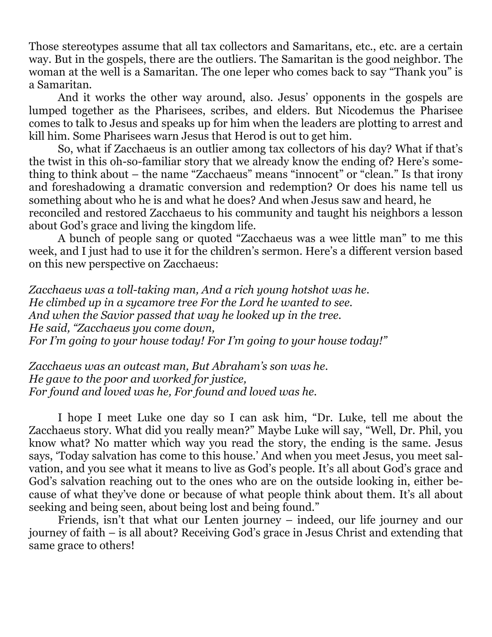Those stereotypes assume that all tax collectors and Samaritans, etc., etc. are a certain way. But in the gospels, there are the outliers. The Samaritan is the good neighbor. The woman at the well is a Samaritan. The one leper who comes back to say "Thank you" is a Samaritan.

And it works the other way around, also. Jesus' opponents in the gospels are lumped together as the Pharisees, scribes, and elders. But Nicodemus the Pharisee comes to talk to Jesus and speaks up for him when the leaders are plotting to arrest and kill him. Some Pharisees warn Jesus that Herod is out to get him.

So, what if Zacchaeus is an outlier among tax collectors of his day? What if that's the twist in this oh-so-familiar story that we already know the ending of? Here's something to think about – the name "Zacchaeus" means "innocent" or "clean." Is that irony and foreshadowing a dramatic conversion and redemption? Or does his name tell us something about who he is and what he does? And when Jesus saw and heard, he reconciled and restored Zacchaeus to his community and taught his neighbors a lesson

about God's grace and living the kingdom life.

A bunch of people sang or quoted "Zacchaeus was a wee little man" to me this week, and I just had to use it for the children's sermon. Here's a different version based on this new perspective on Zacchaeus:

*Zacchaeus was a toll-taking man, And a rich young hotshot was he. He climbed up in a sycamore tree For the Lord he wanted to see. And when the Savior passed that way he looked up in the tree. He said, "Zacchaeus you come down, For I'm going to your house today! For I'm going to your house today!"*

*Zacchaeus was an outcast man, But Abraham's son was he. He gave to the poor and worked for justice, For found and loved was he, For found and loved was he.*

I hope I meet Luke one day so I can ask him, "Dr. Luke, tell me about the Zacchaeus story. What did you really mean?" Maybe Luke will say, "Well, Dr. Phil, you know what? No matter which way you read the story, the ending is the same. Jesus says, 'Today salvation has come to this house.' And when you meet Jesus, you meet salvation, and you see what it means to live as God's people. It's all about God's grace and God's salvation reaching out to the ones who are on the outside looking in, either because of what they've done or because of what people think about them. It's all about seeking and being seen, about being lost and being found."

Friends, isn't that what our Lenten journey – indeed, our life journey and our journey of faith – is all about? Receiving God's grace in Jesus Christ and extending that same grace to others!